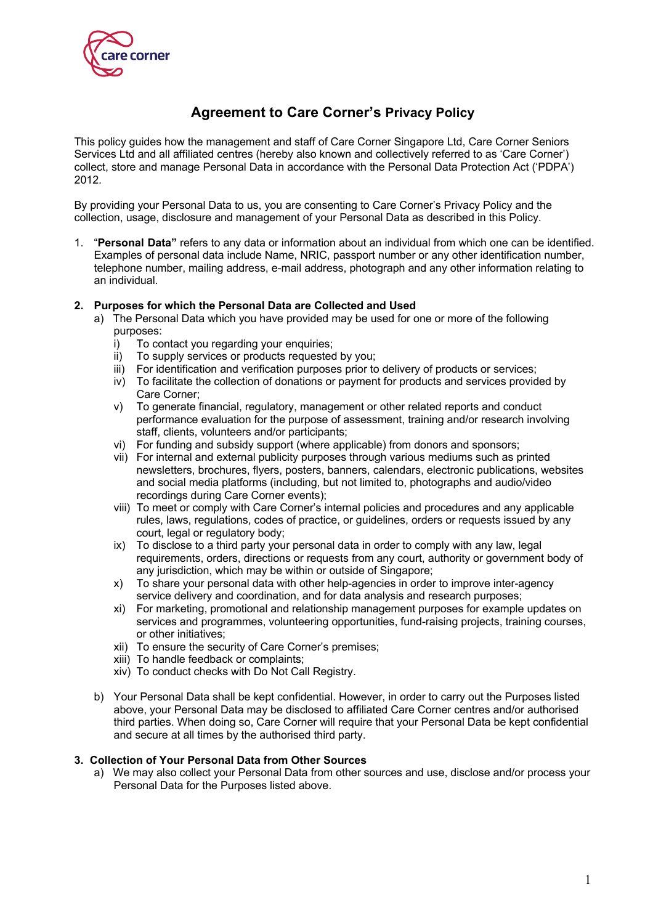

# **Agreement to Care Corner's Privacy Policy**

This policy guides how the management and staff of Care Corner Singapore Ltd, Care Corner Seniors Services Ltd and all affiliated centres (hereby also known and collectively referred to as 'Care Corner') collect, store and manage Personal Data in accordance with the Personal Data Protection Act ('PDPA') 2012.

By providing your Personal Data to us, you are consenting to Care Corner's Privacy Policy and the collection, usage, disclosure and management of your Personal Data as described in this Policy.

1. "**Personal Data"** refers to any data or information about an individual from which one can be identified. Examples of personal data include Name, NRIC, passport number or any other identification number, telephone number, mailing address, e-mail address, photograph and any other information relating to an individual.

#### **2. Purposes for which the Personal Data are Collected and Used**

- a) The Personal Data which you have provided may be used for one or more of the following purposes:
	- i) To contact you regarding your enquiries;
	- ii) To supply services or products requested by you;<br>iii) For identification and verification purposes prior to
	- For identification and verification purposes prior to delivery of products or services;
	- iv) To facilitate the collection of donations or payment for products and services provided by Care Corner;
	- v) To generate financial, regulatory, management or other related reports and conduct performance evaluation for the purpose of assessment, training and/or research involving staff, clients, volunteers and/or participants;
	- vi) For funding and subsidy support (where applicable) from donors and sponsors;
	- vii) For internal and external publicity purposes through various mediums such as printed newsletters, brochures, flyers, posters, banners, calendars, electronic publications, websites and social media platforms (including, but not limited to, photographs and audio/video recordings during Care Corner events);
	- viii) To meet or comply with Care Corner's internal policies and procedures and any applicable rules, laws, regulations, codes of practice, or guidelines, orders or requests issued by any court, legal or regulatory body;
	- ix) To disclose to a third party your personal data in order to comply with any law, legal requirements, orders, directions or requests from any court, authority or government body of any jurisdiction, which may be within or outside of Singapore;
	- x) To share your personal data with other help-agencies in order to improve inter-agency service delivery and coordination, and for data analysis and research purposes;
	- xi) For marketing, promotional and relationship management purposes for example updates on services and programmes, volunteering opportunities, fund-raising projects, training courses, or other initiatives;
	- xii) To ensure the security of Care Corner's premises;
	- xiii) To handle feedback or complaints;
	- xiv) To conduct checks with Do Not Call Registry.
	- b) Your Personal Data shall be kept confidential. However, in order to carry out the Purposes listed above, your Personal Data may be disclosed to affiliated Care Corner centres and/or authorised third parties. When doing so, Care Corner will require that your Personal Data be kept confidential and secure at all times by the authorised third party.

#### **3. Collection of Your Personal Data from Other Sources**

a) We may also collect your Personal Data from other sources and use, disclose and/or process your Personal Data for the Purposes listed above.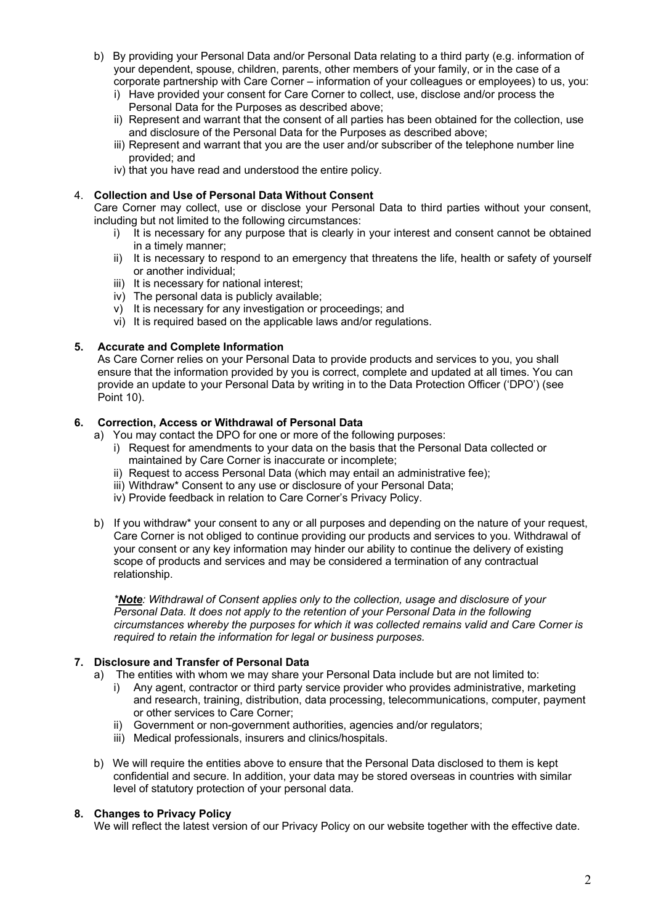- b) By providing your Personal Data and/or Personal Data relating to a third party (e.g. information of your dependent, spouse, children, parents, other members of your family, or in the case of a corporate partnership with Care Corner – information of your colleagues or employees) to us, you:
	- i) Have provided your consent for Care Corner to collect, use, disclose and/or process the Personal Data for the Purposes as described above;
	- ii) Represent and warrant that the consent of all parties has been obtained for the collection, use and disclosure of the Personal Data for the Purposes as described above;
	- iii) Represent and warrant that you are the user and/or subscriber of the telephone number line provided; and
	- iv) that you have read and understood the entire policy.

## 4. **Collection and Use of Personal Data Without Consent**

Care Corner may collect, use or disclose your Personal Data to third parties without your consent, including but not limited to the following circumstances:

- i) It is necessary for any purpose that is clearly in your interest and consent cannot be obtained in a timely manner;
- ii) It is necessary to respond to an emergency that threatens the life, health or safety of yourself or another individual;
- iii) It is necessary for national interest;
- iv) The personal data is publicly available;
- v) It is necessary for any investigation or proceedings; and
- vi) It is required based on the applicable laws and/or regulations.

## **5. Accurate and Complete Information**

As Care Corner relies on your Personal Data to provide products and services to you, you shall ensure that the information provided by you is correct, complete and updated at all times. You can provide an update to your Personal Data by writing in to the Data Protection Officer ('DPO') (see Point 10).

## **6. Correction, Access or Withdrawal of Personal Data**

- a) You may contact the DPO for one or more of the following purposes:
	- i) Request for amendments to your data on the basis that the Personal Data collected or maintained by Care Corner is inaccurate or incomplete;
	- ii) Request to access Personal Data (which may entail an administrative fee);
	- iii) Withdraw\* Consent to any use or disclosure of your Personal Data;
	- iv) Provide feedback in relation to Care Corner's Privacy Policy.
- b) If you withdraw\* your consent to any or all purposes and depending on the nature of your request, Care Corner is not obliged to continue providing our products and services to you. Withdrawal of your consent or any key information may hinder our ability to continue the delivery of existing scope of products and services and may be considered a termination of any contractual relationship.

*\*Note: Withdrawal of Consent applies only to the collection, usage and disclosure of your Personal Data. It does not apply to the retention of your Personal Data in the following circumstances whereby the purposes for which it was collected remains valid and Care Corner is required to retain the information for legal or business purposes.*

## **7. Disclosure and Transfer of Personal Data**

- a) The entities with whom we may share your Personal Data include but are not limited to:
	- i) Any agent, contractor or third party service provider who provides administrative, marketing and research, training, distribution, data processing, telecommunications, computer, payment or other services to Care Corner;
	- ii) Government or non-government authorities, agencies and/or regulators;
	- iii) Medical professionals, insurers and clinics/hospitals.
- b) We will require the entities above to ensure that the Personal Data disclosed to them is kept confidential and secure. In addition, your data may be stored overseas in countries with similar level of statutory protection of your personal data.

## **8. Changes to Privacy Policy**

We will reflect the latest version of our Privacy Policy on our website together with the effective date.